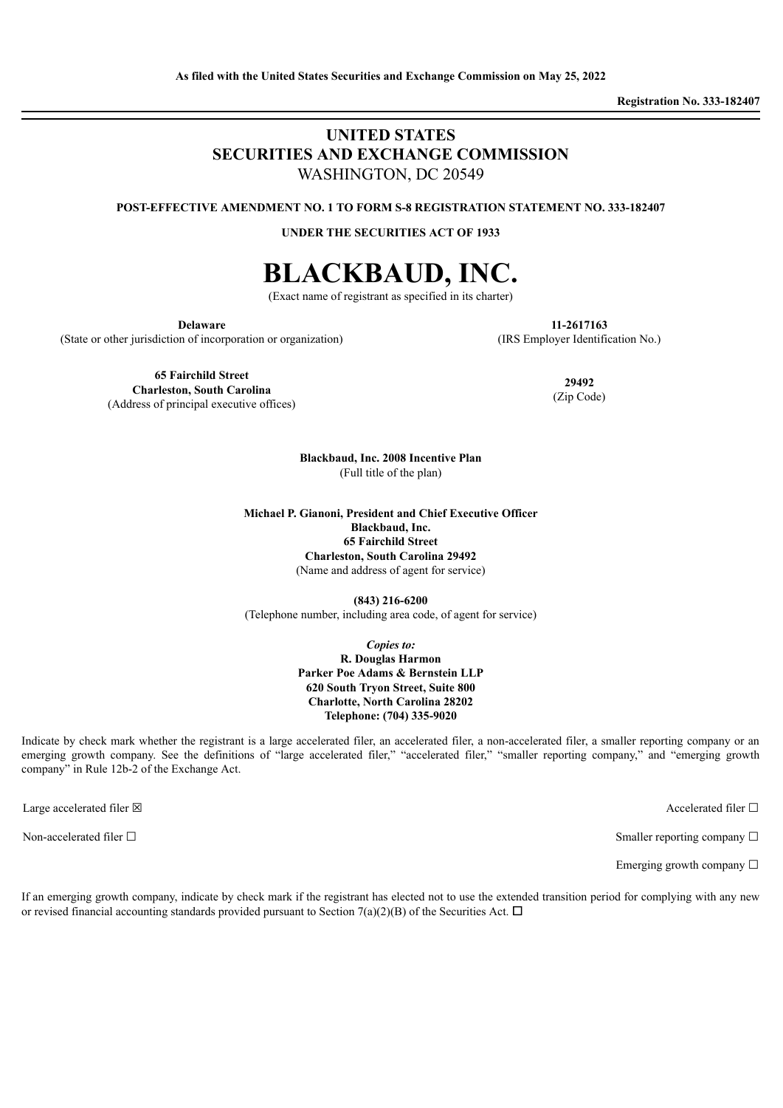**Registration No. 333-182407**

# **UNITED STATES SECURITIES AND EXCHANGE COMMISSION** WASHINGTON, DC 20549

**POST-EFFECTIVE AMENDMENT NO. 1 TO FORM S-8 REGISTRATION STATEMENT NO. 333-182407**

**UNDER THE SECURITIES ACT OF 1933**

# **BLACKBAUD, INC.**

(Exact name of registrant as specified in its charter)

**Delaware**

(State or other jurisdiction of incorporation or organization)

**11-2617163** (IRS Employer Identification No.)

**65 Fairchild Street Charleston, South Carolina** (Address of principal executive offices)

**29492** (Zip Code)

**Blackbaud, Inc. 2008 Incentive Plan** (Full title of the plan)

**Michael P. Gianoni, President and Chief Executive Officer Blackbaud, Inc. 65 Fairchild Street Charleston, South Carolina 29492** (Name and address of agent for service)

**(843) 216-6200** (Telephone number, including area code, of agent for service)

> *Copies to:* **R. Douglas Harmon Parker Poe Adams & Bernstein LLP 620 South Tryon Street, Suite 800 Charlotte, North Carolina 28202 Telephone: (704) 335-9020**

Indicate by check mark whether the registrant is a large accelerated filer, an accelerated filer, a non-accelerated filer, a smaller reporting company or an emerging growth company. See the definitions of "large accelerated filer," "accelerated filer," "smaller reporting company," and "emerging growth company" in Rule 12b-2 of the Exchange Act.

Large accelerated filer  $\boxtimes$  Accelerated filer  $\Box$ 

Non-accelerated filer □ state of □ Smaller reporting company □

Emerging growth company  $\Box$ 

If an emerging growth company, indicate by check mark if the registrant has elected not to use the extended transition period for complying with any new or revised financial accounting standards provided pursuant to Section 7(a)(2)(B) of the Securities Act.  $\Box$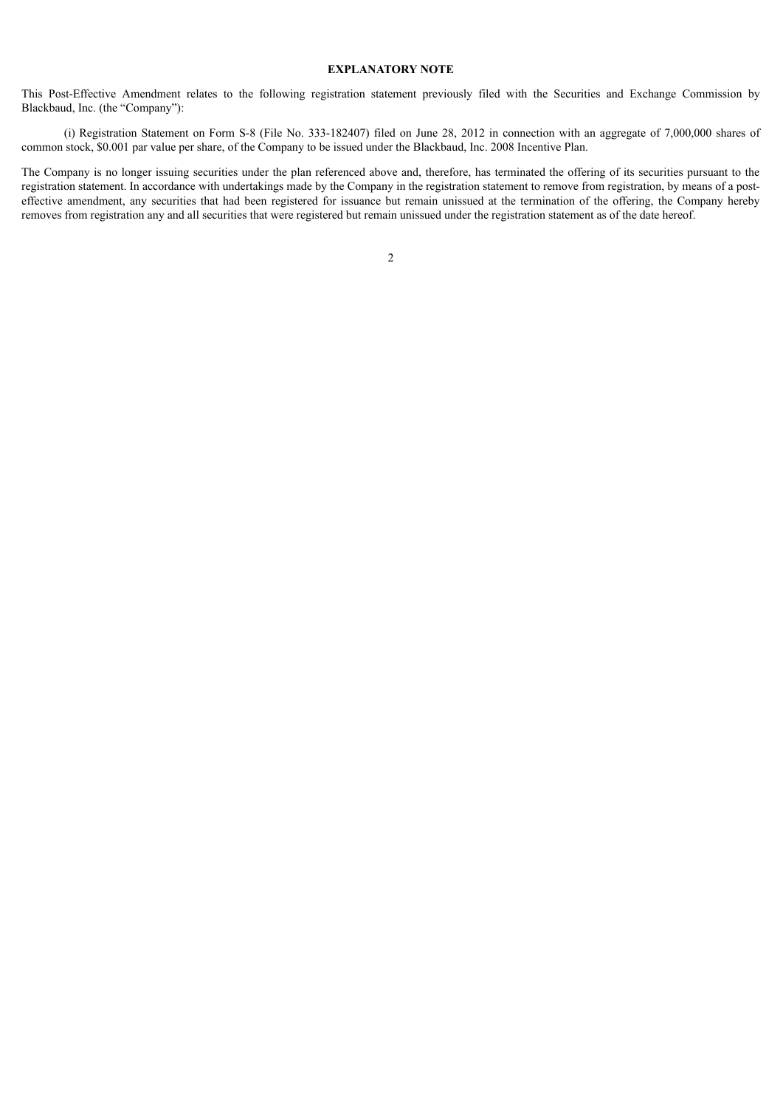#### **EXPLANATORY NOTE**

This Post-Effective Amendment relates to the following registration statement previously filed with the Securities and Exchange Commission by Blackbaud, Inc. (the "Company"):

(i) Registration Statement on Form S-8 (File No. 333-182407) filed on June 28, 2012 in connection with an aggregate of 7,000,000 shares of common stock, \$0.001 par value per share, of the Company to be issued under the Blackbaud, Inc. 2008 Incentive Plan.

The Company is no longer issuing securities under the plan referenced above and, therefore, has terminated the offering of its securities pursuant to the registration statement. In accordance with undertakings made by the Company in the registration statement to remove from registration, by means of a posteffective amendment, any securities that had been registered for issuance but remain unissued at the termination of the offering, the Company hereby removes from registration any and all securities that were registered but remain unissued under the registration statement as of the date hereof.